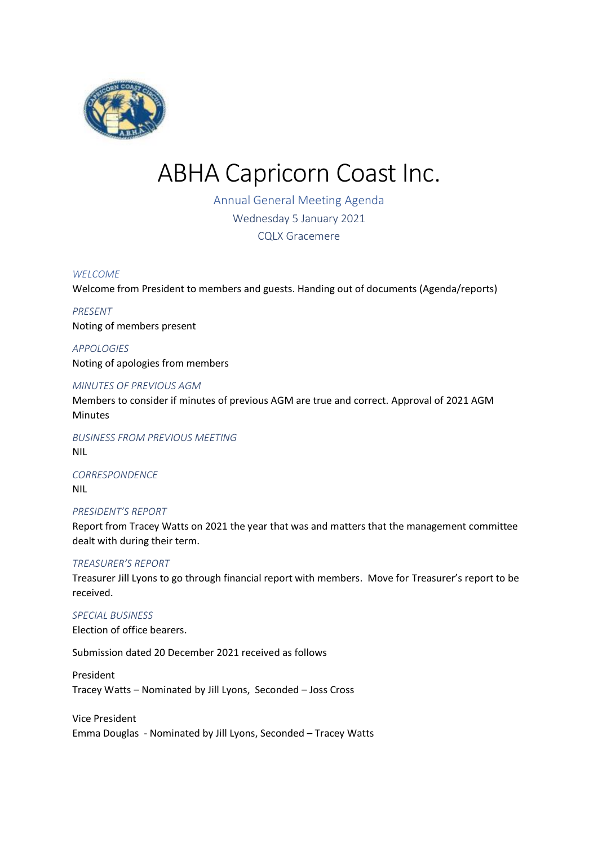

# ABHA Capricorn Coast Inc.

Annual General Meeting Agenda Wednesday 5 January 2021 CQLX Gracemere

#### *WELCOME*

Welcome from President to members and guests. Handing out of documents (Agenda/reports)

# *PRESENT* Noting of members present

*APPOLOGIES* Noting of apologies from members

### *MINUTES OF PREVIOUS AGM*

Members to consider if minutes of previous AGM are true and correct. Approval of 2021 AGM Minutes

*BUSINESS FROM PREVIOUS MEETING* NIL

*CORRESPONDENCE* NIL

#### *PRESIDENT'S REPORT*

Report from Tracey Watts on 2021 the year that was and matters that the management committee dealt with during their term.

#### *TREASURER'S REPORT*

Treasurer Jill Lyons to go through financial report with members. Move for Treasurer's report to be received.

# *SPECIAL BUSINESS*

Election of office bearers.

Submission dated 20 December 2021 received as follows

President Tracey Watts – Nominated by Jill Lyons, Seconded – Joss Cross

Vice President Emma Douglas - Nominated by Jill Lyons, Seconded – Tracey Watts